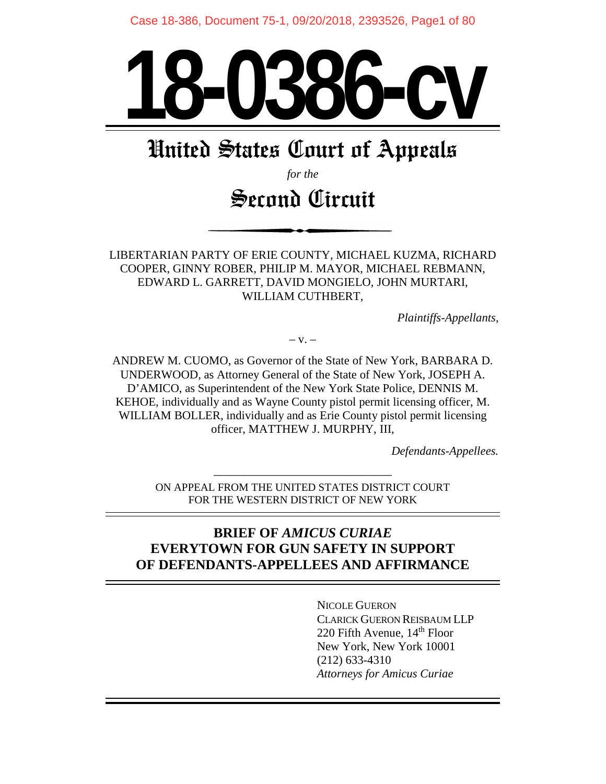Case 18-386, Document 75-1, 09/20/2018, 2393526, Page1 of 80



# United States Court of Appeals

*for the*

# Second Circuit

LIBERTARIAN PARTY OF ERIE COUNTY, MICHAEL KUZMA, RICHARD COOPER, GINNY ROBER, PHILIP M. MAYOR, MICHAEL REBMANN, EDWARD L. GARRETT, DAVID MONGIELO, JOHN MURTARI, WILLIAM CUTHBERT,

*Plaintiffs-Appellants,*

 $-V. -$ 

ANDREW M. CUOMO, as Governor of the State of New York, BARBARA D. UNDERWOOD, as Attorney General of the State of New York, JOSEPH A. D'AMICO, as Superintendent of the New York State Police, DENNIS M. KEHOE, individually and as Wayne County pistol permit licensing officer, M. WILLIAM BOLLER, individually and as Erie County pistol permit licensing officer, MATTHEW J. MURPHY, III,

*Defendants-Appellees.*

–––––––––––––––––––––––––––––– ON APPEAL FROM THE UNITED STATES DISTRICT COURT FOR THE WESTERN DISTRICT OF NEW YORK

# **BRIEF OF** *AMICUS CURIAE* **EVERYTOWN FOR GUN SAFETY IN SUPPORT OF DEFENDANTS-APPELLEES AND AFFIRMANCE**

NICOLE GUERON CLARICK GUERON REISBAUM LLP 220 Fifth Avenue,  $14<sup>th</sup>$  Floor New York, New York 10001 (212) 633-4310 *Attorneys for Amicus Curiae*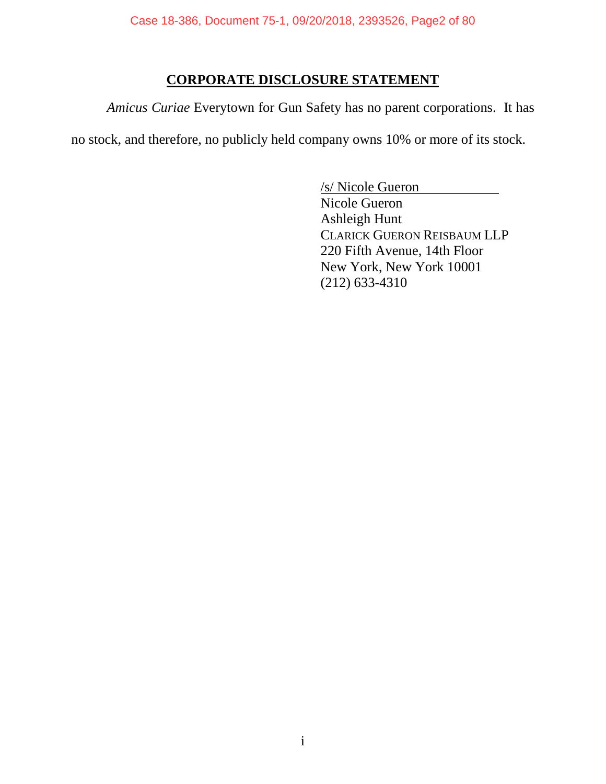# **CORPORATE DISCLOSURE STATEMENT**

*Amicus Curiae* Everytown for Gun Safety has no parent corporations. It has

no stock, and therefore, no publicly held company owns 10% or more of its stock.

/s/ Nicole Gueron Nicole Gueron Ashleigh Hunt CLARICK GUERON REISBAUM LLP 220 Fifth Avenue, 14th Floor New York, New York 10001 (212) 633-4310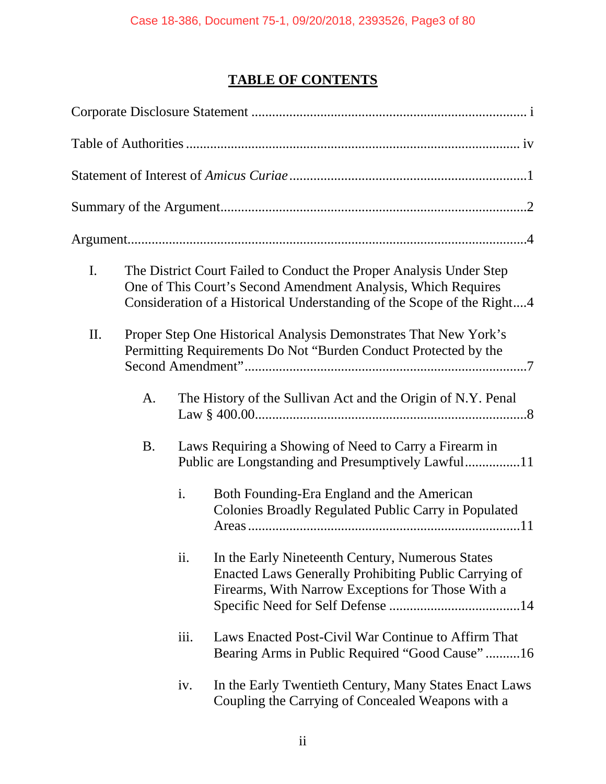# **TABLE OF CONTENTS**

| I. |           |      | The District Court Failed to Conduct the Proper Analysis Under Step<br>One of This Court's Second Amendment Analysis, Which Requires<br>Consideration of a Historical Understanding of the Scope of the Right4 |
|----|-----------|------|----------------------------------------------------------------------------------------------------------------------------------------------------------------------------------------------------------------|
| Π. |           |      | Proper Step One Historical Analysis Demonstrates That New York's<br>Permitting Requirements Do Not "Burden Conduct Protected by the                                                                            |
|    | A.        |      | The History of the Sullivan Act and the Origin of N.Y. Penal                                                                                                                                                   |
|    | <b>B.</b> |      | Laws Requiring a Showing of Need to Carry a Firearm in                                                                                                                                                         |
|    |           | i.   | Both Founding-Era England and the American<br>Colonies Broadly Regulated Public Carry in Populated                                                                                                             |
|    |           | ii.  | In the Early Nineteenth Century, Numerous States<br>Enacted Laws Generally Prohibiting Public Carrying of<br>Firearms, With Narrow Exceptions for Those With a                                                 |
|    |           | iii. | Laws Enacted Post-Civil War Continue to Affirm That<br>Bearing Arms in Public Required "Good Cause"16                                                                                                          |
|    |           | iv.  | In the Early Twentieth Century, Many States Enact Laws<br>Coupling the Carrying of Concealed Weapons with a                                                                                                    |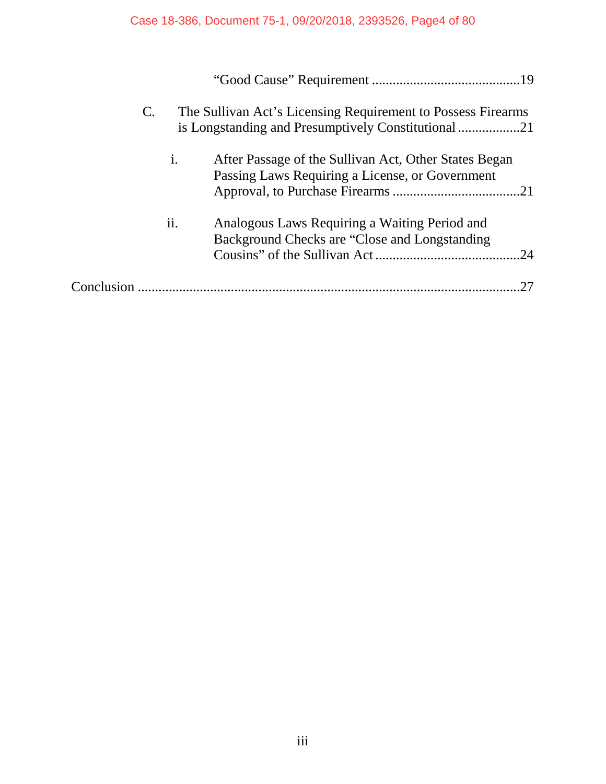# Case 18-386, Document 75-1, 09/20/2018, 2393526, Page4 of 80

| $\mathbf{C}$ . |                | The Sullivan Act's Licensing Requirement to Possess Firearms                                             |     |
|----------------|----------------|----------------------------------------------------------------------------------------------------------|-----|
|                | $\mathbf{1}$ . | After Passage of the Sullivan Act, Other States Began<br>Passing Laws Requiring a License, or Government |     |
|                | ii.            | Analogous Laws Requiring a Waiting Period and<br>Background Checks are "Close and Longstanding"          | .24 |
|                |                |                                                                                                          | 27  |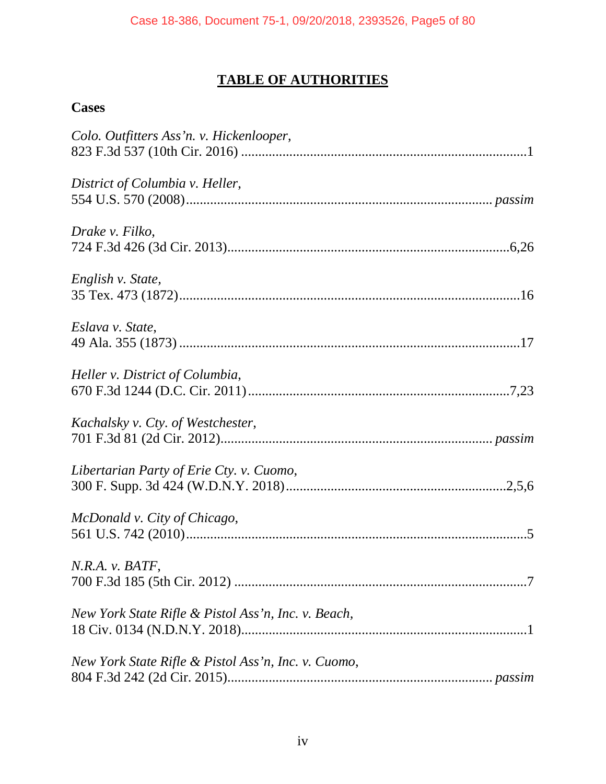# **TABLE OF AUTHORITIES**

# **Cases**

| Colo. Outfitters Ass'n. v. Hickenlooper,            |
|-----------------------------------------------------|
| District of Columbia v. Heller,                     |
| Drake v. Filko,                                     |
| English v. State,                                   |
| Eslava v. State,                                    |
| Heller v. District of Columbia,                     |
| Kachalsky v. Cty. of Westchester,                   |
| Libertarian Party of Erie Cty. v. Cuomo,            |
| McDonald v. City of Chicago,                        |
| N.R.A. v. BATF,                                     |
| New York State Rifle & Pistol Ass'n, Inc. v. Beach, |
| New York State Rifle & Pistol Ass'n, Inc. v. Cuomo, |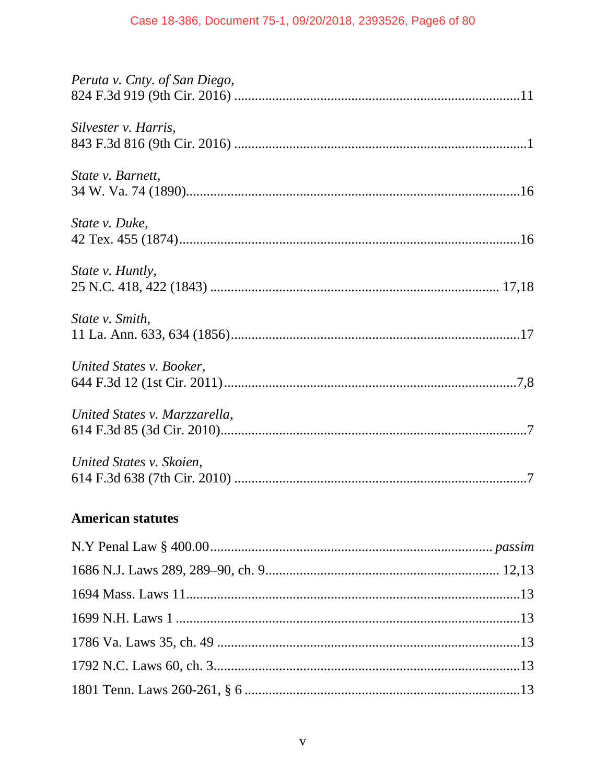| Peruta v. Cnty. of San Diego, |
|-------------------------------|
| Silvester v. Harris,          |
| State v. Barnett,             |
| State v. Duke,                |
| State v. Huntly,              |
| State v. Smith,               |
| United States v. Booker,      |
| United States v. Marzzarella, |
| United States v. Skoien,      |
|                               |

# **American statutes**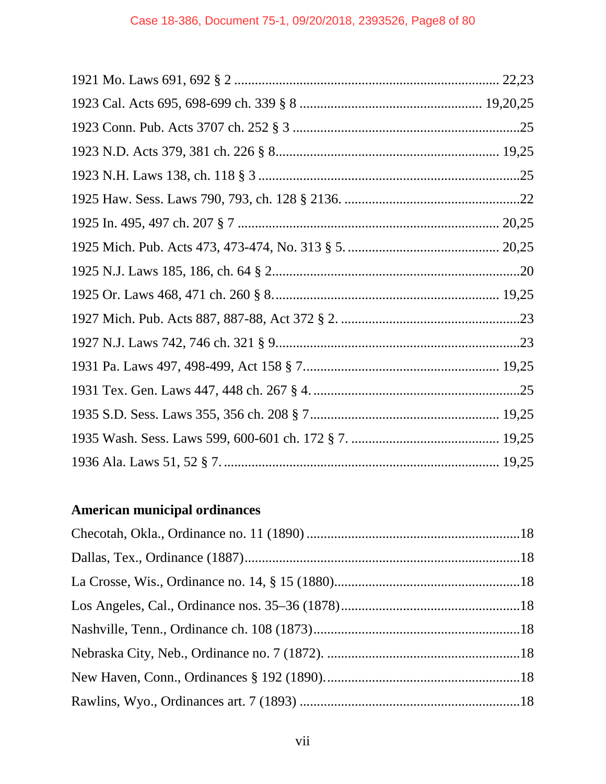# **American municipal ordinances**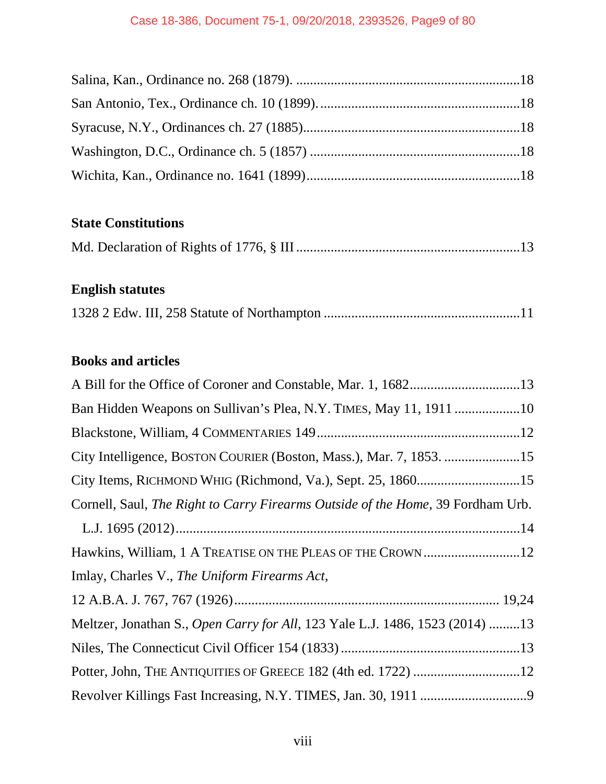# **State Constitutions**

|--|--|--|--|--|--|--|--|

# **English statutes**

|--|--|--|

# **Books and articles**

| City Intelligence, BOSTON COURIER (Boston, Mass.), Mar. 7, 1853. 15             |
|---------------------------------------------------------------------------------|
| City Items, RICHMOND WHIG (Richmond, Va.), Sept. 25, 186015                     |
| Cornell, Saul, The Right to Carry Firearms Outside of the Home, 39 Fordham Urb. |
|                                                                                 |
| Hawkins, William, 1 A TREATISE ON THE PLEAS OF THE CROWN12                      |
| Imlay, Charles V., The Uniform Firearms Act,                                    |
|                                                                                 |
| Meltzer, Jonathan S., Open Carry for All, 123 Yale L.J. 1486, 1523 (2014) 13    |
|                                                                                 |
|                                                                                 |
|                                                                                 |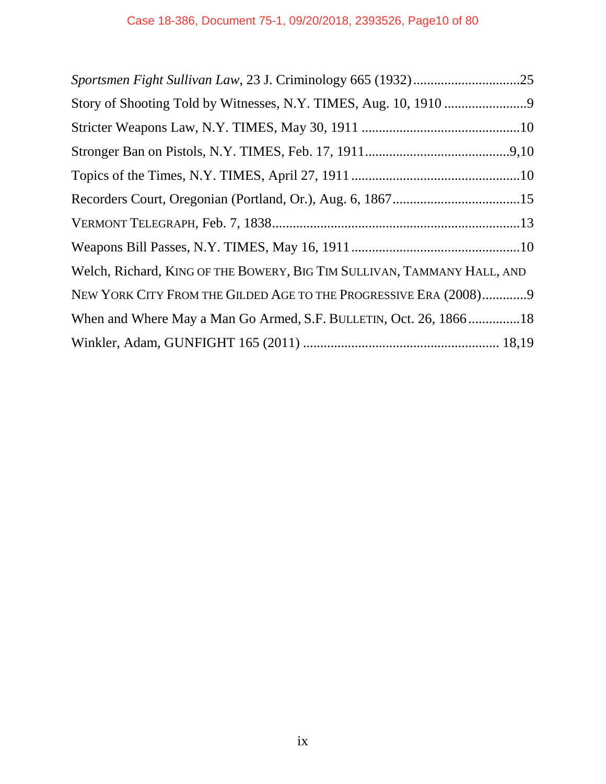| Welch, Richard, KING OF THE BOWERY, BIG TIM SULLIVAN, TAMMANY HALL, AND |
|-------------------------------------------------------------------------|
| NEW YORK CITY FROM THE GILDED AGE TO THE PROGRESSIVE ERA (2008)9        |
| When and Where May a Man Go Armed, S.F. BULLETIN, Oct. 26, 186618       |
|                                                                         |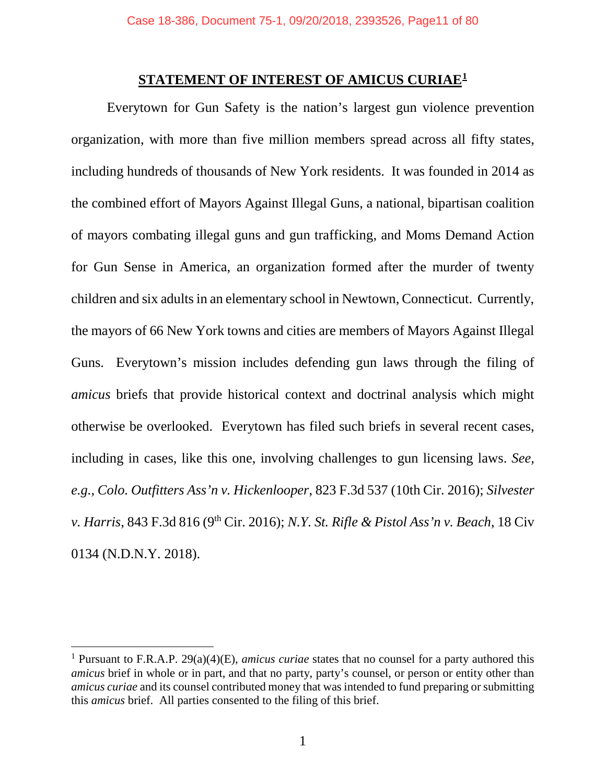#### **STATEMENT OF INTEREST OF AMICUS CURIAE1**

Everytown for Gun Safety is the nation's largest gun violence prevention organization, with more than five million members spread across all fifty states, including hundreds of thousands of New York residents. It was founded in 2014 as the combined effort of Mayors Against Illegal Guns, a national, bipartisan coalition of mayors combating illegal guns and gun trafficking, and Moms Demand Action for Gun Sense in America, an organization formed after the murder of twenty children and six adults in an elementary school in Newtown, Connecticut. Currently, the mayors of 66 New York towns and cities are members of Mayors Against Illegal Guns. Everytown's mission includes defending gun laws through the filing of *amicus* briefs that provide historical context and doctrinal analysis which might otherwise be overlooked. Everytown has filed such briefs in several recent cases, including in cases, like this one, involving challenges to gun licensing laws. *See, e.g.*, *Colo. Outfitters Ass'n v. Hickenlooper*, 823 F.3d 537 (10th Cir. 2016); *Silvester v. Harris*, 843 F.3d 816 (9<sup>th</sup> Cir. 2016); *N.Y. St. Rifle & Pistol Ass'n v. Beach*, 18 Civ 0134 (N.D.N.Y. 2018).

 <sup>1</sup> Pursuant to F.R.A.P. 29(a)(4)(E), *amicus curiae* states that no counsel for a party authored this *amicus* brief in whole or in part, and that no party, party's counsel, or person or entity other than *amicus curiae* and its counsel contributed money that was intended to fund preparing or submitting this *amicus* brief. All parties consented to the filing of this brief.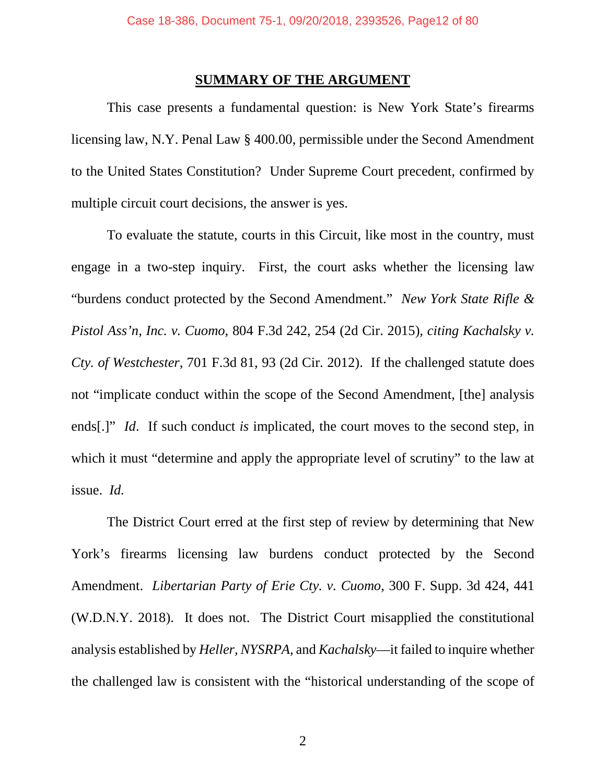### **SUMMARY OF THE ARGUMENT**

This case presents a fundamental question: is New York State's firearms licensing law, N.Y. Penal Law § 400.00, permissible under the Second Amendment to the United States Constitution? Under Supreme Court precedent, confirmed by multiple circuit court decisions, the answer is yes.

To evaluate the statute, courts in this Circuit, like most in the country, must engage in a two-step inquiry. First, the court asks whether the licensing law "burdens conduct protected by the Second Amendment." *New York State Rifle & Pistol Ass'n, Inc. v. Cuomo*, 804 F.3d 242, 254 (2d Cir. 2015)*, citing Kachalsky v. Cty. of Westchester*, 701 F.3d 81, 93 (2d Cir. 2012). If the challenged statute does not "implicate conduct within the scope of the Second Amendment, [the] analysis ends[.]" *Id.* If such conduct *is* implicated, the court moves to the second step, in which it must "determine and apply the appropriate level of scrutiny" to the law at issue. *Id.*

The District Court erred at the first step of review by determining that New York's firearms licensing law burdens conduct protected by the Second Amendment. *Libertarian Party of Erie Cty. v. Cuomo*, 300 F. Supp. 3d 424, 441 (W.D.N.Y. 2018). It does not. The District Court misapplied the constitutional analysis established by *Heller, NYSRPA,* and *Kachalsky*—it failed to inquire whether the challenged law is consistent with the "historical understanding of the scope of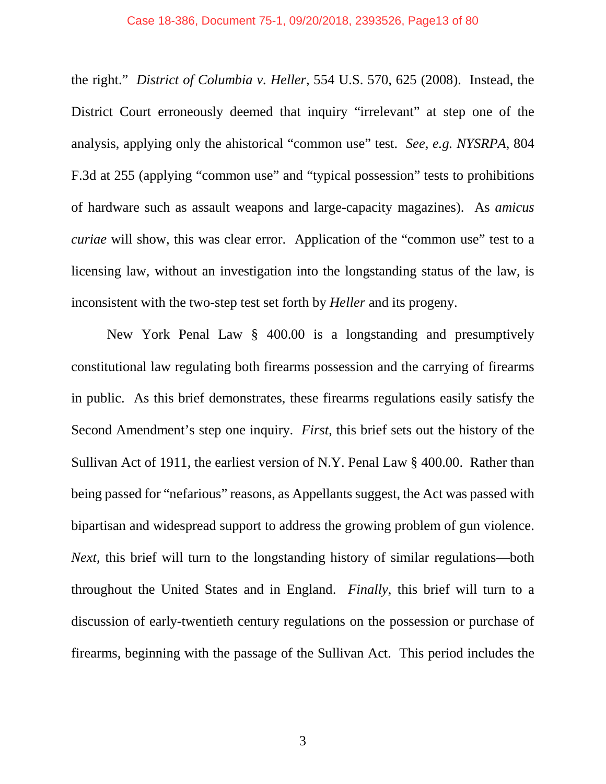#### Case 18-386, Document 75-1, 09/20/2018, 2393526, Page13 of 80

the right." *District of Columbia v. Heller*, 554 U.S. 570, 625 (2008). Instead, the District Court erroneously deemed that inquiry "irrelevant" at step one of the analysis, applying only the ahistorical "common use" test. *See, e.g. NYSRPA*, 804 F.3d at 255 (applying "common use" and "typical possession" tests to prohibitions of hardware such as assault weapons and large-capacity magazines). As *amicus curiae* will show, this was clear error. Application of the "common use" test to a licensing law, without an investigation into the longstanding status of the law, is inconsistent with the two-step test set forth by *Heller* and its progeny.

New York Penal Law § 400.00 is a longstanding and presumptively constitutional law regulating both firearms possession and the carrying of firearms in public. As this brief demonstrates, these firearms regulations easily satisfy the Second Amendment's step one inquiry. *First*, this brief sets out the history of the Sullivan Act of 1911, the earliest version of N.Y. Penal Law § 400.00. Rather than being passed for "nefarious" reasons, as Appellants suggest, the Act was passed with bipartisan and widespread support to address the growing problem of gun violence. *Next*, this brief will turn to the longstanding history of similar regulations—both throughout the United States and in England. *Finally*, this brief will turn to a discussion of early-twentieth century regulations on the possession or purchase of firearms, beginning with the passage of the Sullivan Act. This period includes the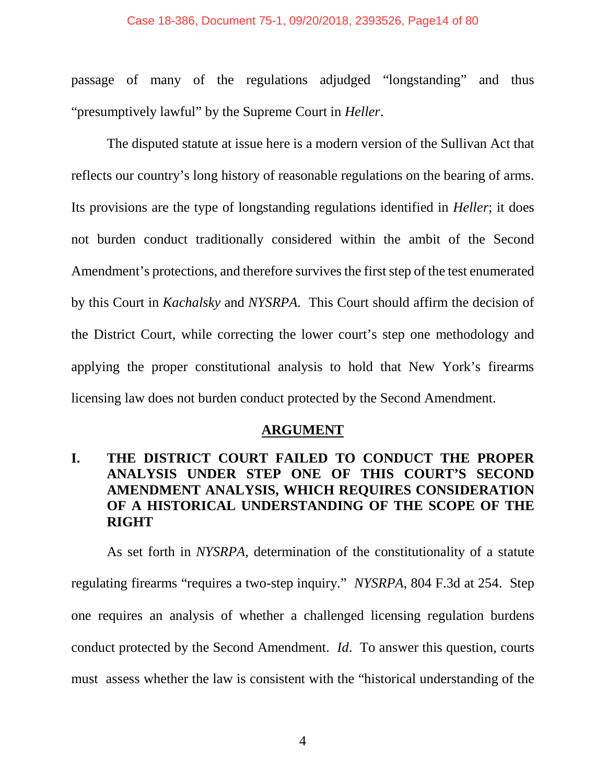#### Case 18-386, Document 75-1, 09/20/2018, 2393526, Page14 of 80

passage of many of the regulations adjudged "longstanding" and thus "presumptively lawful" by the Supreme Court in *Heller*.

The disputed statute at issue here is a modern version of the Sullivan Act that reflects our country's long history of reasonable regulations on the bearing of arms. Its provisions are the type of longstanding regulations identified in *Heller*; it does not burden conduct traditionally considered within the ambit of the Second Amendment's protections, and therefore survives the first step of the test enumerated by this Court in *Kachalsky* and *NYSRPA*. This Court should affirm the decision of the District Court, while correcting the lower court's step one methodology and applying the proper constitutional analysis to hold that New York's firearms licensing law does not burden conduct protected by the Second Amendment.

#### **ARGUMENT**

# **I. THE DISTRICT COURT FAILED TO CONDUCT THE PROPER ANALYSIS UNDER STEP ONE OF THIS COURT'S SECOND AMENDMENT ANALYSIS, WHICH REQUIRES CONSIDERATION OF A HISTORICAL UNDERSTANDING OF THE SCOPE OF THE RIGHT**

As set forth in *NYSRPA*, determination of the constitutionality of a statute regulating firearms "requires a two-step inquiry." *NYSRPA*, 804 F.3d at 254. Step one requires an analysis of whether a challenged licensing regulation burdens conduct protected by the Second Amendment. *Id*. To answer this question, courts must assess whether the law is consistent with the "historical understanding of the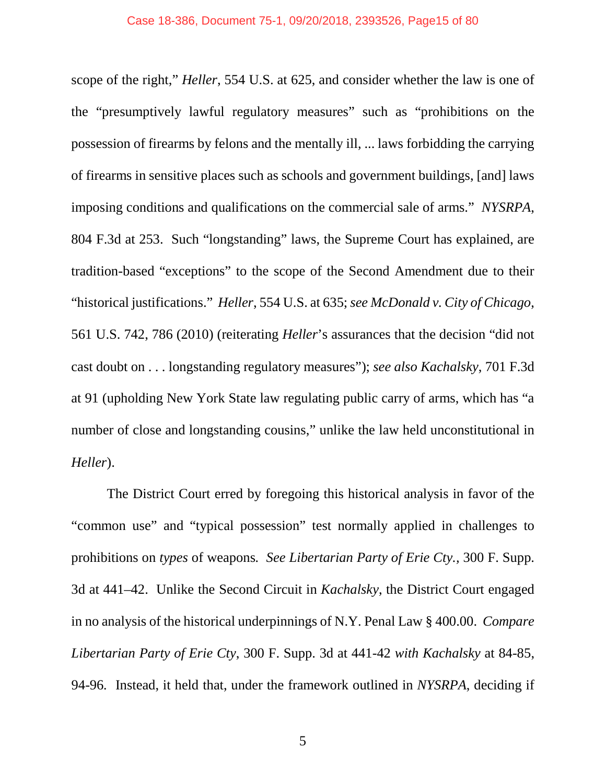scope of the right," *Heller*, 554 U.S. at 625, and consider whether the law is one of the "presumptively lawful regulatory measures" such as "prohibitions on the possession of firearms by felons and the mentally ill, ... laws forbidding the carrying of firearms in sensitive places such as schools and government buildings, [and] laws imposing conditions and qualifications on the commercial sale of arms." *NYSRPA*, 804 F.3d at 253. Such "longstanding" laws, the Supreme Court has explained, are tradition-based "exceptions" to the scope of the Second Amendment due to their "historical justifications." *Heller*, 554 U.S. at 635; *see McDonald v. City of Chicago*, 561 U.S. 742, 786 (2010) (reiterating *Heller*'s assurances that the decision "did not cast doubt on . . . longstanding regulatory measures"); *see also Kachalsky*, 701 F.3d at 91 (upholding New York State law regulating public carry of arms, which has "a number of close and longstanding cousins," unlike the law held unconstitutional in *Heller*).

The District Court erred by foregoing this historical analysis in favor of the "common use" and "typical possession" test normally applied in challenges to prohibitions on *types* of weapons*. See Libertarian Party of Erie Cty.,* 300 F. Supp. 3d at 441–42. Unlike the Second Circuit in *Kachalsky*, the District Court engaged in no analysis of the historical underpinnings of N.Y. Penal Law § 400.00. *Compare Libertarian Party of Erie Cty*, 300 F. Supp. 3d at 441-42 *with Kachalsky* at 84-85, 94-96*.* Instead, it held that, under the framework outlined in *NYSRPA*, deciding if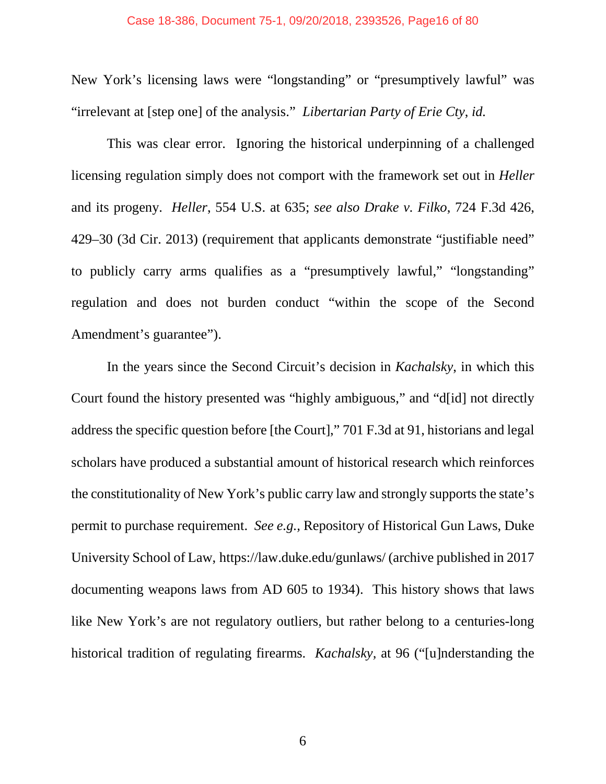New York's licensing laws were "longstanding" or "presumptively lawful" was "irrelevant at [step one] of the analysis." *Libertarian Party of Erie Cty*, *id.* 

This was clear error. Ignoring the historical underpinning of a challenged licensing regulation simply does not comport with the framework set out in *Heller*  and its progeny. *Heller*, 554 U.S. at 635; *see also Drake v. Filko*, 724 F.3d 426, 429–30 (3d Cir. 2013) (requirement that applicants demonstrate "justifiable need" to publicly carry arms qualifies as a "presumptively lawful," "longstanding" regulation and does not burden conduct "within the scope of the Second Amendment's guarantee").

In the years since the Second Circuit's decision in *Kachalsky*, in which this Court found the history presented was "highly ambiguous," and "d[id] not directly address the specific question before [the Court]," 701 F.3d at 91, historians and legal scholars have produced a substantial amount of historical research which reinforces the constitutionality of New York's public carry law and strongly supports the state's permit to purchase requirement. *See e.g.,* Repository of Historical Gun Laws, Duke University School of Law, https://law.duke.edu/gunlaws/ (archive published in 2017 documenting weapons laws from AD 605 to 1934). This history shows that laws like New York's are not regulatory outliers, but rather belong to a centuries-long historical tradition of regulating firearms. *Kachalsky,* at 96 ("[u]nderstanding the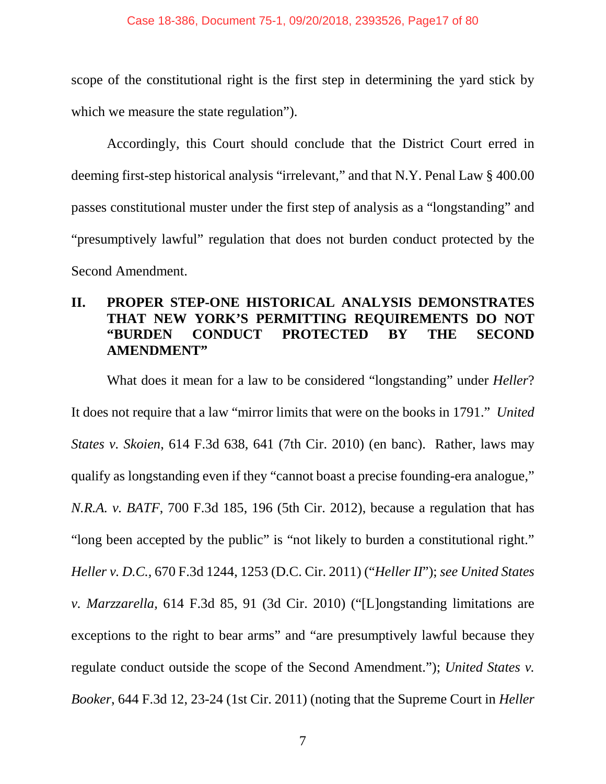scope of the constitutional right is the first step in determining the yard stick by which we measure the state regulation".

Accordingly, this Court should conclude that the District Court erred in deeming first-step historical analysis "irrelevant," and that N.Y. Penal Law § 400.00 passes constitutional muster under the first step of analysis as a "longstanding" and "presumptively lawful" regulation that does not burden conduct protected by the Second Amendment.

# **II. PROPER STEP-ONE HISTORICAL ANALYSIS DEMONSTRATES THAT NEW YORK'S PERMITTING REQUIREMENTS DO NOT "BURDEN CONDUCT PROTECTED BY THE SECOND AMENDMENT"**

What does it mean for a law to be considered "longstanding" under *Heller*? It does not require that a law "mirror limits that were on the books in 1791." *United States v. Skoien*, 614 F.3d 638, 641 (7th Cir. 2010) (en banc). Rather, laws may qualify as longstanding even if they "cannot boast a precise founding-era analogue," *N.R.A. v. BATF*, 700 F.3d 185, 196 (5th Cir. 2012), because a regulation that has "long been accepted by the public" is "not likely to burden a constitutional right." *Heller v. D.C.,* 670 F.3d 1244, 1253 (D.C. Cir. 2011) ("*Heller II*"); *see United States v. Marzzarella,* 614 F.3d 85, 91 (3d Cir. 2010) ("[L]ongstanding limitations are exceptions to the right to bear arms" and "are presumptively lawful because they regulate conduct outside the scope of the Second Amendment."); *United States v. Booker*, 644 F.3d 12, 23-24 (1st Cir. 2011) (noting that the Supreme Court in *Heller*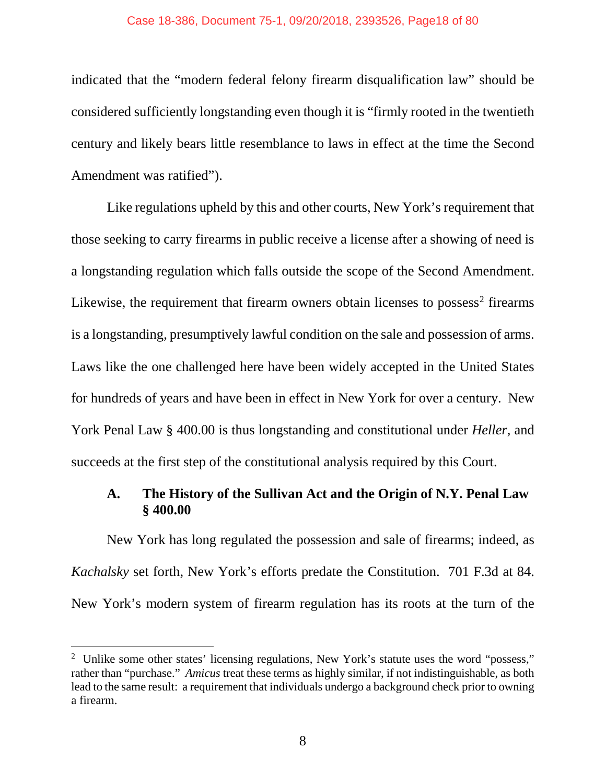#### Case 18-386, Document 75-1, 09/20/2018, 2393526, Page18 of 80

indicated that the "modern federal felony firearm disqualification law" should be considered sufficiently longstanding even though it is "firmly rooted in the twentieth century and likely bears little resemblance to laws in effect at the time the Second Amendment was ratified").

Like regulations upheld by this and other courts, New York's requirement that those seeking to carry firearms in public receive a license after a showing of need is a longstanding regulation which falls outside the scope of the Second Amendment. Likewise, the requirement that firearm owners obtain licenses to possess<sup>2</sup> firearms is a longstanding, presumptively lawful condition on the sale and possession of arms. Laws like the one challenged here have been widely accepted in the United States for hundreds of years and have been in effect in New York for over a century. New York Penal Law § 400.00 is thus longstanding and constitutional under *Heller*, and succeeds at the first step of the constitutional analysis required by this Court.

## **A. The History of the Sullivan Act and the Origin of N.Y. Penal Law § 400.00**

New York has long regulated the possession and sale of firearms; indeed, as *Kachalsky* set forth, New York's efforts predate the Constitution. 701 F.3d at 84. New York's modern system of firearm regulation has its roots at the turn of the

 $\frac{1}{2}$ <sup>2</sup> Unlike some other states' licensing regulations, New York's statute uses the word "possess," rather than "purchase." *Amicus* treat these terms as highly similar, if not indistinguishable, as both lead to the same result: a requirement that individuals undergo a background check prior to owning a firearm.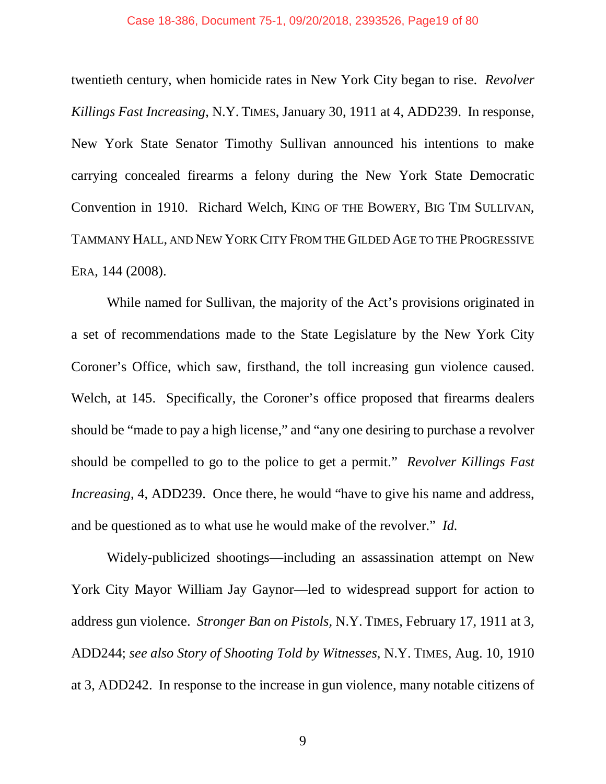twentieth century, when homicide rates in New York City began to rise. *Revolver Killings Fast Increasing*, N.Y. TIMES, January 30, 1911 at 4, ADD239. In response, New York State Senator Timothy Sullivan announced his intentions to make carrying concealed firearms a felony during the New York State Democratic Convention in 1910. Richard Welch, KING OF THE BOWERY, BIG TIM SULLIVAN, TAMMANY HALL, AND NEW YORK CITY FROM THE GILDED AGE TO THE PROGRESSIVE ERA, 144 (2008).

While named for Sullivan, the majority of the Act's provisions originated in a set of recommendations made to the State Legislature by the New York City Coroner's Office, which saw, firsthand, the toll increasing gun violence caused. Welch, at 145. Specifically, the Coroner's office proposed that firearms dealers should be "made to pay a high license," and "any one desiring to purchase a revolver should be compelled to go to the police to get a permit." *Revolver Killings Fast Increasing*, 4, ADD239. Once there, he would "have to give his name and address, and be questioned as to what use he would make of the revolver." *Id.*

Widely-publicized shootings—including an assassination attempt on New York City Mayor William Jay Gaynor—led to widespread support for action to address gun violence. *Stronger Ban on Pistols,* N.Y. TIMES, February 17, 1911 at 3, ADD244; *see also Story of Shooting Told by Witnesses*, N.Y. TIMES, Aug. 10, 1910 at 3, ADD242. In response to the increase in gun violence, many notable citizens of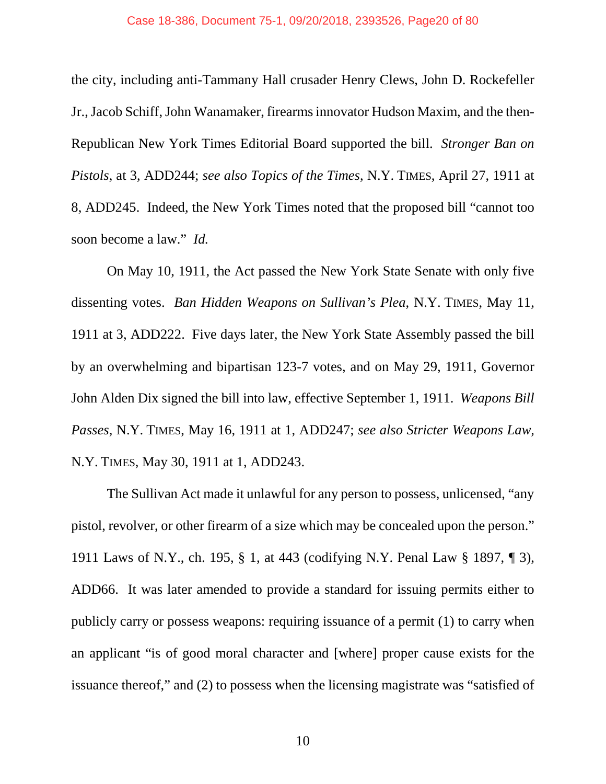the city, including anti-Tammany Hall crusader Henry Clews, John D. Rockefeller Jr., Jacob Schiff, John Wanamaker, firearms innovator Hudson Maxim, and the then-Republican New York Times Editorial Board supported the bill. *Stronger Ban on Pistols*, at 3, ADD244; *see also Topics of the Times*, N.Y. TIMES, April 27, 1911 at 8, ADD245. Indeed, the New York Times noted that the proposed bill "cannot too soon become a law." *Id.*

On May 10, 1911, the Act passed the New York State Senate with only five dissenting votes. *Ban Hidden Weapons on Sullivan's Plea*, N.Y. TIMES, May 11, 1911 at 3, ADD222. Five days later, the New York State Assembly passed the bill by an overwhelming and bipartisan 123-7 votes, and on May 29, 1911, Governor John Alden Dix signed the bill into law, effective September 1, 1911. *Weapons Bill Passes*, N.Y. TIMES, May 16, 1911 at 1, ADD247; *see also Stricter Weapons Law,* N.Y. TIMES, May 30, 1911 at 1, ADD243.

The Sullivan Act made it unlawful for any person to possess, unlicensed, "any pistol, revolver, or other firearm of a size which may be concealed upon the person." 1911 Laws of N.Y., ch. 195, § 1, at 443 (codifying N.Y. Penal Law § 1897, ¶ 3), ADD66. It was later amended to provide a standard for issuing permits either to publicly carry or possess weapons: requiring issuance of a permit (1) to carry when an applicant "is of good moral character and [where] proper cause exists for the issuance thereof," and (2) to possess when the licensing magistrate was "satisfied of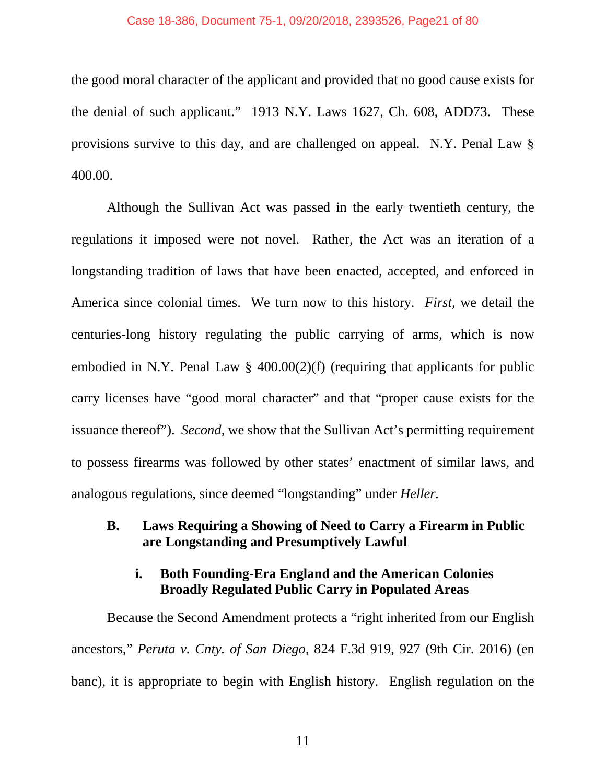#### Case 18-386, Document 75-1, 09/20/2018, 2393526, Page21 of 80

the good moral character of the applicant and provided that no good cause exists for the denial of such applicant." 1913 N.Y. Laws 1627, Ch. 608, ADD73. These provisions survive to this day, and are challenged on appeal. N.Y. Penal Law § 400.00.

Although the Sullivan Act was passed in the early twentieth century, the regulations it imposed were not novel. Rather, the Act was an iteration of a longstanding tradition of laws that have been enacted, accepted, and enforced in America since colonial times. We turn now to this history. *First*, we detail the centuries-long history regulating the public carrying of arms, which is now embodied in N.Y. Penal Law  $\S$  400.00(2)(f) (requiring that applicants for public carry licenses have "good moral character" and that "proper cause exists for the issuance thereof"). *Second*, we show that the Sullivan Act's permitting requirement to possess firearms was followed by other states' enactment of similar laws, and analogous regulations, since deemed "longstanding" under *Heller.*

## **B. Laws Requiring a Showing of Need to Carry a Firearm in Public are Longstanding and Presumptively Lawful**

### **i. Both Founding-Era England and the American Colonies Broadly Regulated Public Carry in Populated Areas**

Because the Second Amendment protects a "right inherited from our English ancestors," *Peruta v. Cnty. of San Diego*, 824 F.3d 919, 927 (9th Cir. 2016) (en banc), it is appropriate to begin with English history. English regulation on the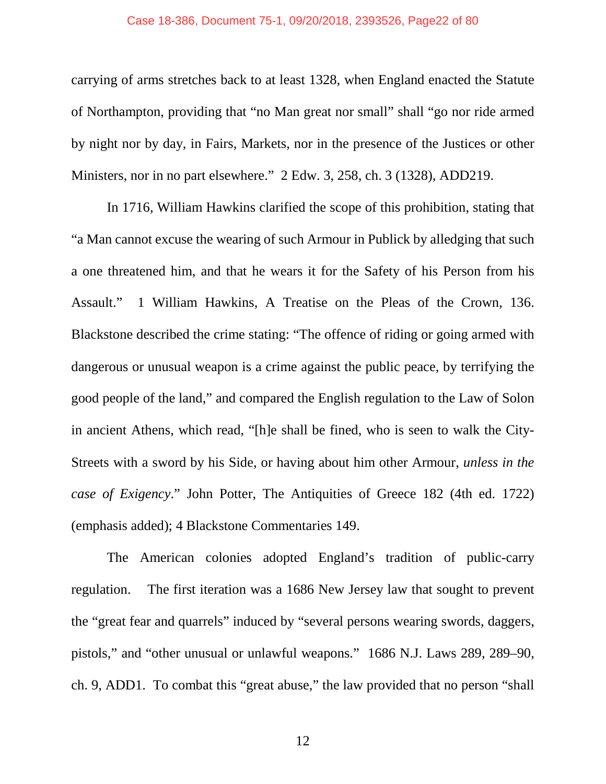#### Case 18-386, Document 75-1, 09/20/2018, 2393526, Page22 of 80

carrying of arms stretches back to at least 1328, when England enacted the Statute of Northampton, providing that "no Man great nor small" shall "go nor ride armed by night nor by day, in Fairs, Markets, nor in the presence of the Justices or other Ministers, nor in no part elsewhere." 2 Edw. 3, 258, ch. 3 (1328), ADD219.

In 1716, William Hawkins clarified the scope of this prohibition, stating that "a Man cannot excuse the wearing of such Armour in Publick by alledging that such a one threatened him, and that he wears it for the Safety of his Person from his Assault." 1 William Hawkins, A Treatise on the Pleas of the Crown, 136. Blackstone described the crime stating: "The offence of riding or going armed with dangerous or unusual weapon is a crime against the public peace, by terrifying the good people of the land," and compared the English regulation to the Law of Solon in ancient Athens, which read, "[h]e shall be fined, who is seen to walk the City-Streets with a sword by his Side, or having about him other Armour, *unless in the case of Exigency*." John Potter, The Antiquities of Greece 182 (4th ed. 1722) (emphasis added); 4 Blackstone Commentaries 149.

The American colonies adopted England's tradition of public-carry regulation. The first iteration was a 1686 New Jersey law that sought to prevent the "great fear and quarrels" induced by "several persons wearing swords, daggers, pistols," and "other unusual or unlawful weapons." 1686 N.J. Laws 289, 289–90, ch. 9, ADD1. To combat this "great abuse," the law provided that no person "shall

12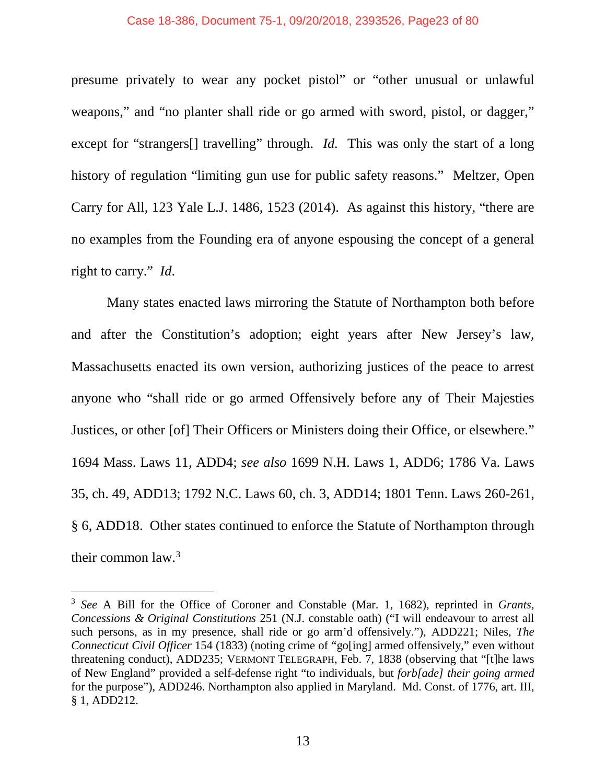#### Case 18-386, Document 75-1, 09/20/2018, 2393526, Page23 of 80

presume privately to wear any pocket pistol" or "other unusual or unlawful weapons," and "no planter shall ride or go armed with sword, pistol, or dagger," except for "strangers<sup>[]</sup> travelling" through. *Id.* This was only the start of a long history of regulation "limiting gun use for public safety reasons." Meltzer, Open Carry for All, 123 Yale L.J. 1486, 1523 (2014). As against this history, "there are no examples from the Founding era of anyone espousing the concept of a general right to carry." *Id*.

Many states enacted laws mirroring the Statute of Northampton both before and after the Constitution's adoption; eight years after New Jersey's law, Massachusetts enacted its own version, authorizing justices of the peace to arrest anyone who "shall ride or go armed Offensively before any of Their Majesties Justices, or other [of] Their Officers or Ministers doing their Office, or elsewhere." 1694 Mass. Laws 11, ADD4; *see also* 1699 N.H. Laws 1, ADD6; 1786 Va. Laws 35, ch. 49, ADD13; 1792 N.C. Laws 60, ch. 3, ADD14; 1801 Tenn. Laws 260-261, § 6, ADD18. Other states continued to enforce the Statute of Northampton through their common  $law<sup>3</sup>$ .

 <sup>3</sup> *See* A Bill for the Office of Coroner and Constable (Mar. 1, 1682), reprinted in *Grants, Concessions & Original Constitutions* 251 (N.J. constable oath) ("I will endeavour to arrest all such persons, as in my presence, shall ride or go arm'd offensively."), ADD221; Niles, *The Connecticut Civil Officer* 154 (1833) (noting crime of "go[ing] armed offensively," even without threatening conduct), ADD235; VERMONT TELEGRAPH, Feb. 7, 1838 (observing that "[t]he laws of New England" provided a self-defense right "to individuals, but *forb[ade] their going armed* for the purpose"), ADD246. Northampton also applied in Maryland. Md. Const. of 1776, art. III, § 1, ADD212.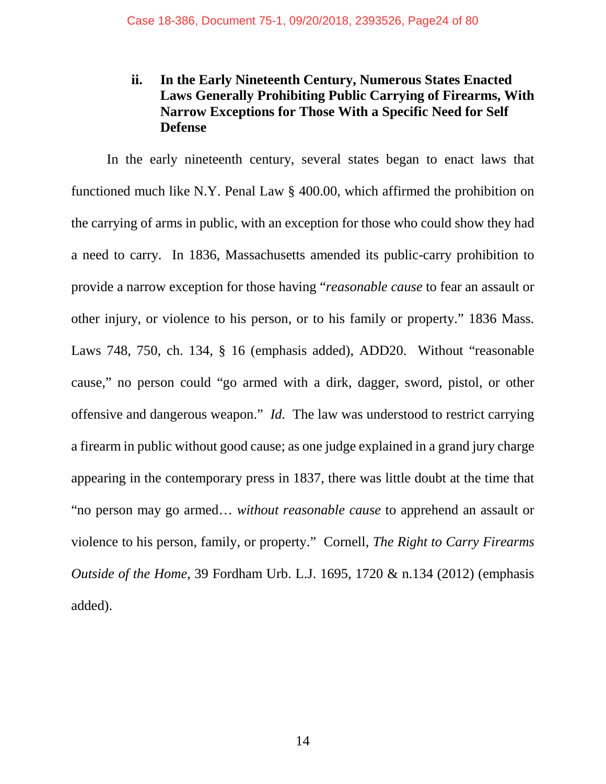# **ii. In the Early Nineteenth Century, Numerous States Enacted Laws Generally Prohibiting Public Carrying of Firearms, With Narrow Exceptions for Those With a Specific Need for Self Defense**

In the early nineteenth century, several states began to enact laws that functioned much like N.Y. Penal Law § 400.00, which affirmed the prohibition on the carrying of arms in public, with an exception for those who could show they had a need to carry. In 1836, Massachusetts amended its public-carry prohibition to provide a narrow exception for those having "*reasonable cause* to fear an assault or other injury, or violence to his person, or to his family or property." 1836 Mass. Laws 748, 750, ch. 134, § 16 (emphasis added), ADD20. Without "reasonable cause," no person could "go armed with a dirk, dagger, sword, pistol, or other offensive and dangerous weapon." *Id.* The law was understood to restrict carrying a firearm in public without good cause; as one judge explained in a grand jury charge appearing in the contemporary press in 1837, there was little doubt at the time that "no person may go armed… *without reasonable cause* to apprehend an assault or violence to his person, family, or property." Cornell, *The Right to Carry Firearms Outside of the Home*, 39 Fordham Urb. L.J. 1695, 1720 & n.134 (2012) (emphasis added).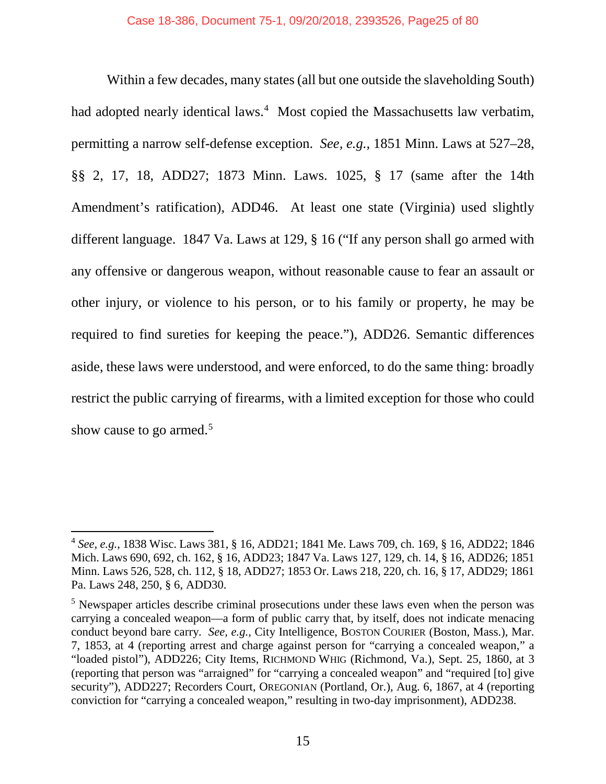Within a few decades, many states (all but one outside the slaveholding South) had adopted nearly identical laws.<sup>4</sup> Most copied the Massachusetts law verbatim, permitting a narrow self-defense exception. *See, e.g.,* 1851 Minn. Laws at 527–28, §§ 2, 17, 18, ADD27; 1873 Minn. Laws. 1025, § 17 (same after the 14th Amendment's ratification), ADD46. At least one state (Virginia) used slightly different language. 1847 Va. Laws at 129, § 16 ("If any person shall go armed with any offensive or dangerous weapon, without reasonable cause to fear an assault or other injury, or violence to his person, or to his family or property, he may be required to find sureties for keeping the peace."), ADD26. Semantic differences aside, these laws were understood, and were enforced, to do the same thing: broadly restrict the public carrying of firearms, with a limited exception for those who could show cause to go armed. 5

 <sup>4</sup> *See, e.g.*, 1838 Wisc. Laws 381, § 16, ADD21; 1841 Me. Laws 709, ch. 169, § 16, ADD22; 1846 Mich. Laws 690, 692, ch. 162, § 16, ADD23; 1847 Va. Laws 127, 129, ch. 14, § 16, ADD26; 1851 Minn. Laws 526, 528, ch. 112, § 18, ADD27; 1853 Or. Laws 218, 220, ch. 16, § 17, ADD29; 1861 Pa. Laws 248, 250, § 6, ADD30.

<sup>&</sup>lt;sup>5</sup> Newspaper articles describe criminal prosecutions under these laws even when the person was carrying a concealed weapon—a form of public carry that, by itself, does not indicate menacing conduct beyond bare carry. *See, e.g.,* City Intelligence, BOSTON COURIER (Boston, Mass.), Mar. 7, 1853, at 4 (reporting arrest and charge against person for "carrying a concealed weapon," a "loaded pistol"), ADD226; City Items, RICHMOND WHIG (Richmond, Va.), Sept. 25, 1860, at 3 (reporting that person was "arraigned" for "carrying a concealed weapon" and "required [to] give security"), ADD227; Recorders Court, OREGONIAN (Portland, Or.), Aug. 6, 1867, at 4 (reporting conviction for "carrying a concealed weapon," resulting in two-day imprisonment), ADD238.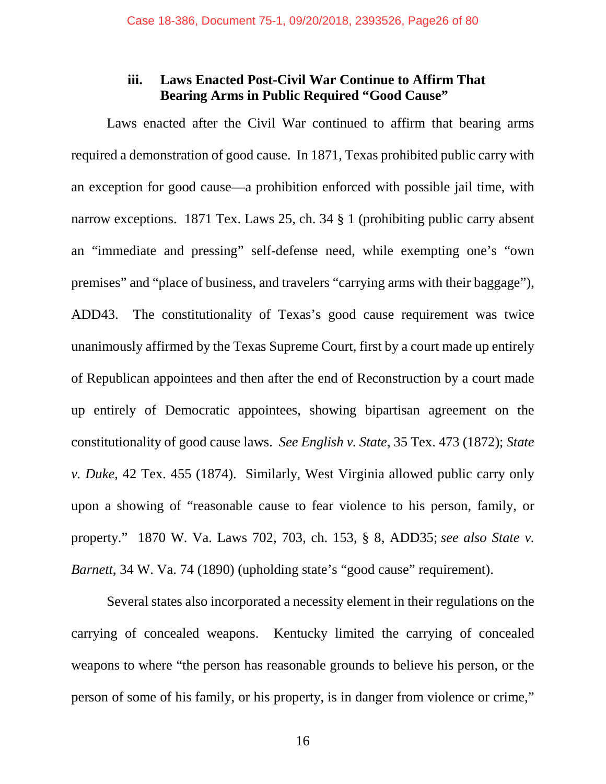### **iii. Laws Enacted Post-Civil War Continue to Affirm That Bearing Arms in Public Required "Good Cause"**

Laws enacted after the Civil War continued to affirm that bearing arms required a demonstration of good cause. In 1871, Texas prohibited public carry with an exception for good cause—a prohibition enforced with possible jail time, with narrow exceptions. 1871 Tex. Laws 25, ch. 34 § 1 (prohibiting public carry absent an "immediate and pressing" self-defense need, while exempting one's "own premises" and "place of business, and travelers "carrying arms with their baggage"), ADD43. The constitutionality of Texas's good cause requirement was twice unanimously affirmed by the Texas Supreme Court, first by a court made up entirely of Republican appointees and then after the end of Reconstruction by a court made up entirely of Democratic appointees, showing bipartisan agreement on the constitutionality of good cause laws. *See English v. State*, 35 Tex. 473 (1872); *State v. Duke*, 42 Tex. 455 (1874). Similarly, West Virginia allowed public carry only upon a showing of "reasonable cause to fear violence to his person, family, or property." 1870 W. Va. Laws 702, 703, ch. 153, § 8, ADD35; *see also State v. Barnett*, 34 W. Va. 74 (1890) (upholding state's "good cause" requirement).

Several states also incorporated a necessity element in their regulations on the carrying of concealed weapons. Kentucky limited the carrying of concealed weapons to where "the person has reasonable grounds to believe his person, or the person of some of his family, or his property, is in danger from violence or crime,"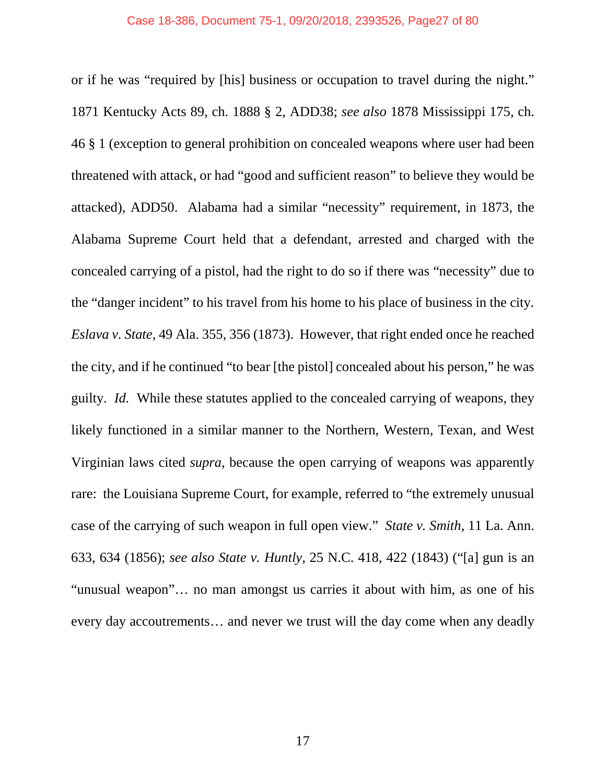or if he was "required by [his] business or occupation to travel during the night." 1871 Kentucky Acts 89, ch. 1888 § 2, ADD38; *see also* 1878 Mississippi 175, ch. 46 § 1 (exception to general prohibition on concealed weapons where user had been threatened with attack, or had "good and sufficient reason" to believe they would be attacked), ADD50. Alabama had a similar "necessity" requirement, in 1873, the Alabama Supreme Court held that a defendant, arrested and charged with the concealed carrying of a pistol, had the right to do so if there was "necessity" due to the "danger incident" to his travel from his home to his place of business in the city. *Eslava v. State*, 49 Ala. 355, 356 (1873). However, that right ended once he reached the city, and if he continued "to bear [the pistol] concealed about his person," he was guilty. *Id.* While these statutes applied to the concealed carrying of weapons, they likely functioned in a similar manner to the Northern, Western, Texan, and West Virginian laws cited *supra*, because the open carrying of weapons was apparently rare: the Louisiana Supreme Court, for example, referred to "the extremely unusual case of the carrying of such weapon in full open view." *State v. Smith*, 11 La. Ann. 633, 634 (1856); *see also State v. Huntly,* 25 N.C. 418, 422 (1843) ("[a] gun is an "unusual weapon"… no man amongst us carries it about with him, as one of his every day accoutrements… and never we trust will the day come when any deadly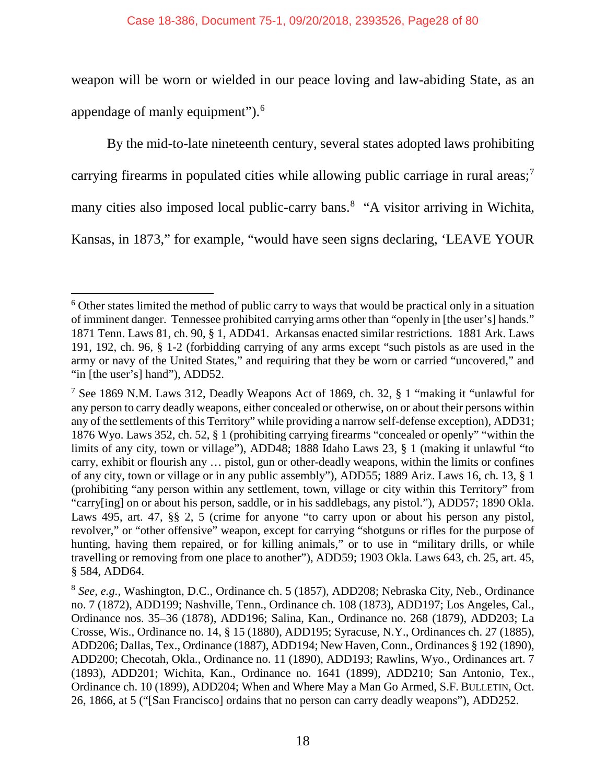weapon will be worn or wielded in our peace loving and law-abiding State, as an appendage of manly equipment").<sup>6</sup>

By the mid-to-late nineteenth century, several states adopted laws prohibiting carrying firearms in populated cities while allowing public carriage in rural areas;<sup>7</sup> many cities also imposed local public-carry bans.<sup>8</sup> "A visitor arriving in Wichita, Kansas, in 1873," for example, "would have seen signs declaring, 'LEAVE YOUR

 <sup>6</sup> Other states limited the method of public carry to ways that would be practical only in a situation of imminent danger. Tennessee prohibited carrying arms other than "openly in [the user's] hands." 1871 Tenn. Laws 81, ch. 90, § 1, ADD41. Arkansas enacted similar restrictions. 1881 Ark. Laws 191, 192, ch. 96, § 1-2 (forbidding carrying of any arms except "such pistols as are used in the army or navy of the United States," and requiring that they be worn or carried "uncovered," and "in [the user's] hand"), ADD52.

<sup>7</sup> See 1869 N.M. Laws 312, Deadly Weapons Act of 1869, ch. 32, § 1 "making it "unlawful for any person to carry deadly weapons, either concealed or otherwise, on or about their persons within any of the settlements of this Territory" while providing a narrow self-defense exception), ADD31; 1876 Wyo. Laws 352, ch. 52, § 1 (prohibiting carrying firearms "concealed or openly" "within the limits of any city, town or village"), ADD48; 1888 Idaho Laws 23, § 1 (making it unlawful "to carry, exhibit or flourish any … pistol, gun or other-deadly weapons, within the limits or confines of any city, town or village or in any public assembly"), ADD55; 1889 Ariz. Laws 16, ch. 13, § 1 (prohibiting "any person within any settlement, town, village or city within this Territory" from "carry[ing] on or about his person, saddle, or in his saddlebags, any pistol."), ADD57; 1890 Okla. Laws 495, art. 47, §§ 2, 5 (crime for anyone "to carry upon or about his person any pistol, revolver," or "other offensive" weapon, except for carrying "shotguns or rifles for the purpose of hunting, having them repaired, or for killing animals," or to use in "military drills, or while travelling or removing from one place to another"), ADD59; 1903 Okla. Laws 643, ch. 25, art. 45, § 584, ADD64.

<sup>8</sup> *See, e.g.,* Washington, D.C., Ordinance ch. 5 (1857), ADD208; Nebraska City, Neb., Ordinance no. 7 (1872), ADD199; Nashville, Tenn., Ordinance ch. 108 (1873), ADD197; Los Angeles, Cal., Ordinance nos. 35–36 (1878), ADD196; Salina, Kan., Ordinance no. 268 (1879), ADD203; La Crosse, Wis., Ordinance no. 14, § 15 (1880), ADD195; Syracuse, N.Y., Ordinances ch. 27 (1885), ADD206; Dallas, Tex., Ordinance (1887), ADD194; New Haven, Conn., Ordinances § 192 (1890), ADD200; Checotah, Okla., Ordinance no. 11 (1890), ADD193; Rawlins, Wyo., Ordinances art. 7 (1893), ADD201; Wichita, Kan., Ordinance no. 1641 (1899), ADD210; San Antonio, Tex., Ordinance ch. 10 (1899), ADD204; When and Where May a Man Go Armed, S.F. BULLETIN, Oct. 26, 1866, at 5 ("[San Francisco] ordains that no person can carry deadly weapons"), ADD252.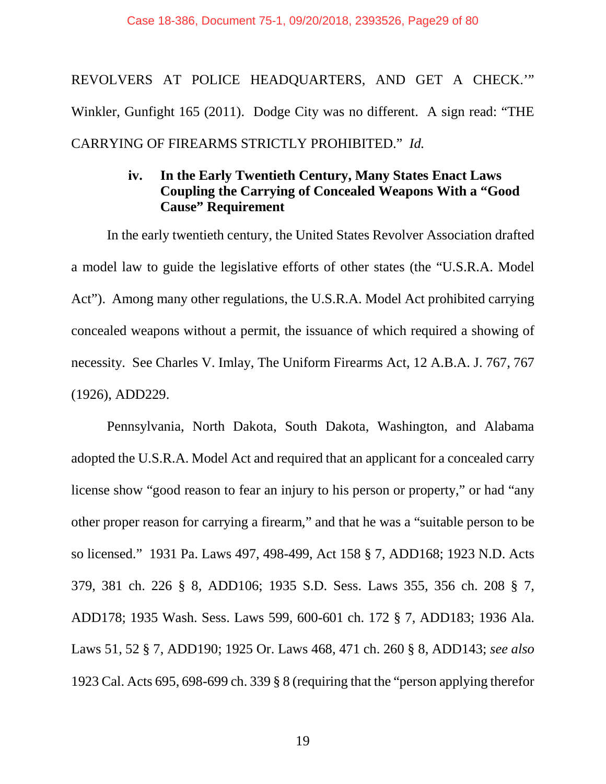REVOLVERS AT POLICE HEADQUARTERS, AND GET A CHECK.'" Winkler, Gunfight 165 (2011). Dodge City was no different. A sign read: "THE CARRYING OF FIREARMS STRICTLY PROHIBITED." *Id.*

### **iv. In the Early Twentieth Century, Many States Enact Laws Coupling the Carrying of Concealed Weapons With a "Good Cause" Requirement**

In the early twentieth century, the United States Revolver Association drafted a model law to guide the legislative efforts of other states (the "U.S.R.A. Model Act"). Among many other regulations, the U.S.R.A. Model Act prohibited carrying concealed weapons without a permit, the issuance of which required a showing of necessity. See Charles V. Imlay, The Uniform Firearms Act, 12 A.B.A. J. 767, 767 (1926), ADD229.

Pennsylvania, North Dakota, South Dakota, Washington, and Alabama adopted the U.S.R.A. Model Act and required that an applicant for a concealed carry license show "good reason to fear an injury to his person or property," or had "any other proper reason for carrying a firearm," and that he was a "suitable person to be so licensed." 1931 Pa. Laws 497, 498-499, Act 158 § 7, ADD168; 1923 N.D. Acts 379, 381 ch. 226 § 8, ADD106; 1935 S.D. Sess. Laws 355, 356 ch. 208 § 7, ADD178; 1935 Wash. Sess. Laws 599, 600-601 ch. 172 § 7, ADD183; 1936 Ala. Laws 51, 52 § 7, ADD190; 1925 Or. Laws 468, 471 ch. 260 § 8, ADD143; *see also*  1923 Cal. Acts 695, 698-699 ch. 339 § 8 (requiring that the "person applying therefor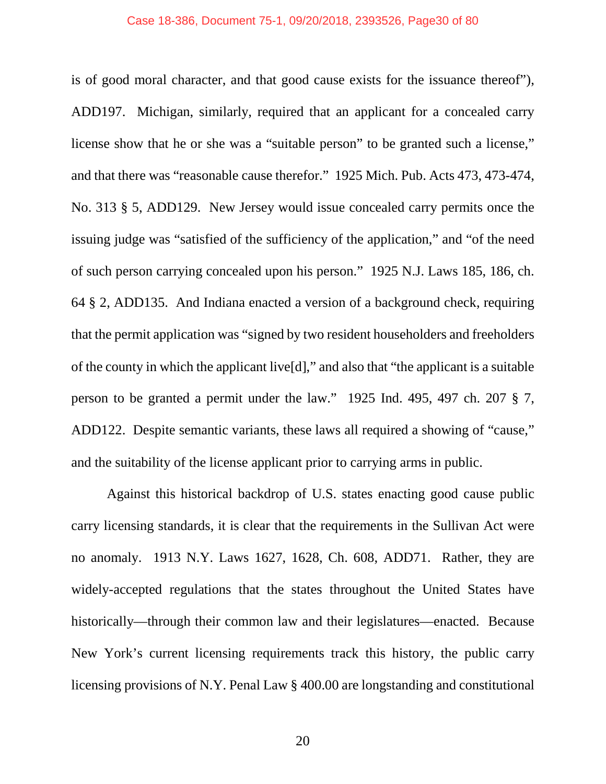is of good moral character, and that good cause exists for the issuance thereof"), ADD197. Michigan, similarly, required that an applicant for a concealed carry license show that he or she was a "suitable person" to be granted such a license," and that there was "reasonable cause therefor." 1925 Mich. Pub. Acts 473, 473-474, No. 313 § 5, ADD129. New Jersey would issue concealed carry permits once the issuing judge was "satisfied of the sufficiency of the application," and "of the need of such person carrying concealed upon his person." 1925 N.J. Laws 185, 186, ch. 64 § 2, ADD135. And Indiana enacted a version of a background check, requiring that the permit application was "signed by two resident householders and freeholders of the county in which the applicant live[d]," and also that "the applicant is a suitable person to be granted a permit under the law." 1925 Ind. 495, 497 ch. 207 § 7, ADD122. Despite semantic variants, these laws all required a showing of "cause," and the suitability of the license applicant prior to carrying arms in public.

Against this historical backdrop of U.S. states enacting good cause public carry licensing standards, it is clear that the requirements in the Sullivan Act were no anomaly. 1913 N.Y. Laws 1627, 1628, Ch. 608, ADD71. Rather, they are widely-accepted regulations that the states throughout the United States have historically—through their common law and their legislatures—enacted. Because New York's current licensing requirements track this history, the public carry licensing provisions of N.Y. Penal Law § 400.00 are longstanding and constitutional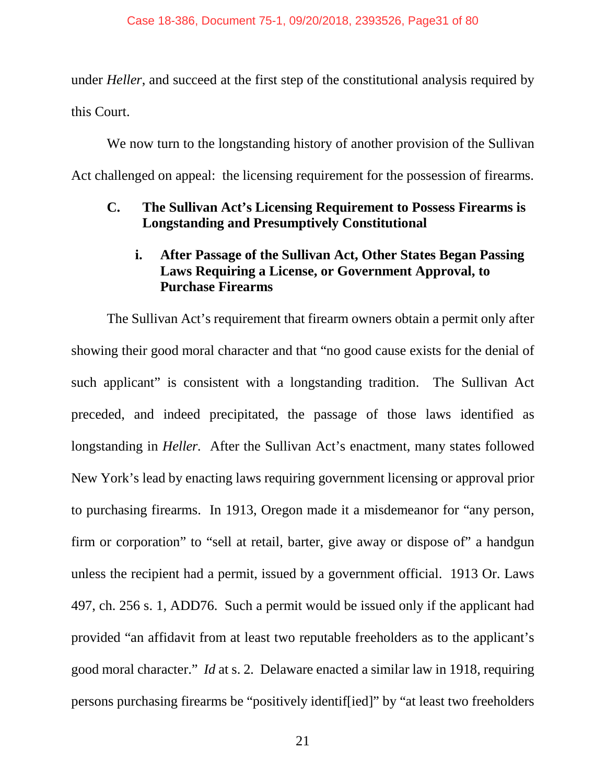under *Heller*, and succeed at the first step of the constitutional analysis required by this Court.

We now turn to the longstanding history of another provision of the Sullivan Act challenged on appeal: the licensing requirement for the possession of firearms.

# **C. The Sullivan Act's Licensing Requirement to Possess Firearms is Longstanding and Presumptively Constitutional**

# **i. After Passage of the Sullivan Act, Other States Began Passing Laws Requiring a License, or Government Approval, to Purchase Firearms**

The Sullivan Act's requirement that firearm owners obtain a permit only after showing their good moral character and that "no good cause exists for the denial of such applicant" is consistent with a longstanding tradition. The Sullivan Act preceded, and indeed precipitated, the passage of those laws identified as longstanding in *Heller.* After the Sullivan Act's enactment, many states followed New York's lead by enacting laws requiring government licensing or approval prior to purchasing firearms. In 1913, Oregon made it a misdemeanor for "any person, firm or corporation" to "sell at retail, barter, give away or dispose of" a handgun unless the recipient had a permit, issued by a government official. 1913 Or. Laws 497, ch. 256 s. 1, ADD76. Such a permit would be issued only if the applicant had provided "an affidavit from at least two reputable freeholders as to the applicant's good moral character." *Id* at s. 2*.* Delaware enacted a similar law in 1918, requiring persons purchasing firearms be "positively identif[ied]" by "at least two freeholders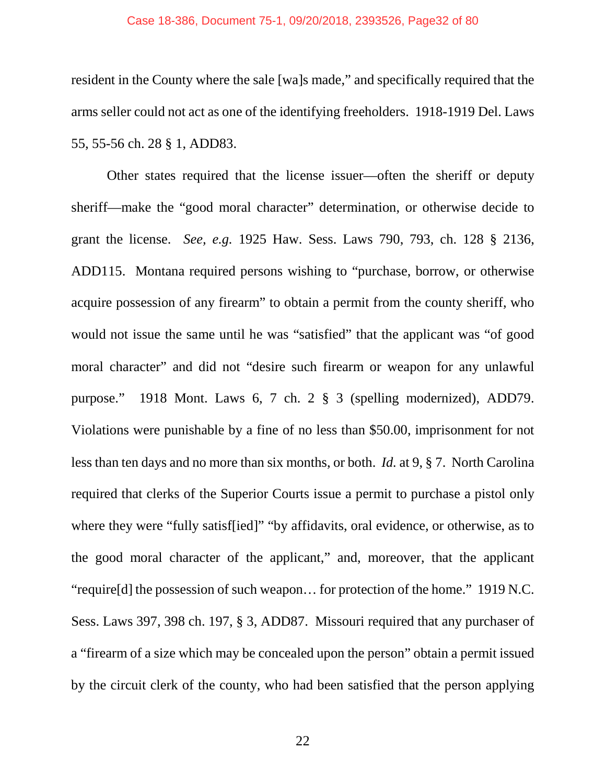#### Case 18-386, Document 75-1, 09/20/2018, 2393526, Page32 of 80

resident in the County where the sale [wa]s made," and specifically required that the arms seller could not act as one of the identifying freeholders. 1918-1919 Del. Laws 55, 55-56 ch. 28 § 1, ADD83.

Other states required that the license issuer—often the sheriff or deputy sheriff—make the "good moral character" determination, or otherwise decide to grant the license. *See, e.g.* 1925 Haw. Sess. Laws 790, 793, ch. 128 § 2136, ADD115. Montana required persons wishing to "purchase, borrow, or otherwise acquire possession of any firearm" to obtain a permit from the county sheriff, who would not issue the same until he was "satisfied" that the applicant was "of good moral character" and did not "desire such firearm or weapon for any unlawful purpose." 1918 Mont. Laws 6, 7 ch. 2 § 3 (spelling modernized), ADD79. Violations were punishable by a fine of no less than \$50.00, imprisonment for not less than ten days and no more than six months, or both. *Id.* at 9, § 7. North Carolina required that clerks of the Superior Courts issue a permit to purchase a pistol only where they were "fully satisffied]" "by affidavits, oral evidence, or otherwise, as to the good moral character of the applicant," and, moreover, that the applicant "require[d] the possession of such weapon… for protection of the home." 1919 N.C. Sess. Laws 397, 398 ch. 197, § 3, ADD87. Missouri required that any purchaser of a "firearm of a size which may be concealed upon the person" obtain a permit issued by the circuit clerk of the county, who had been satisfied that the person applying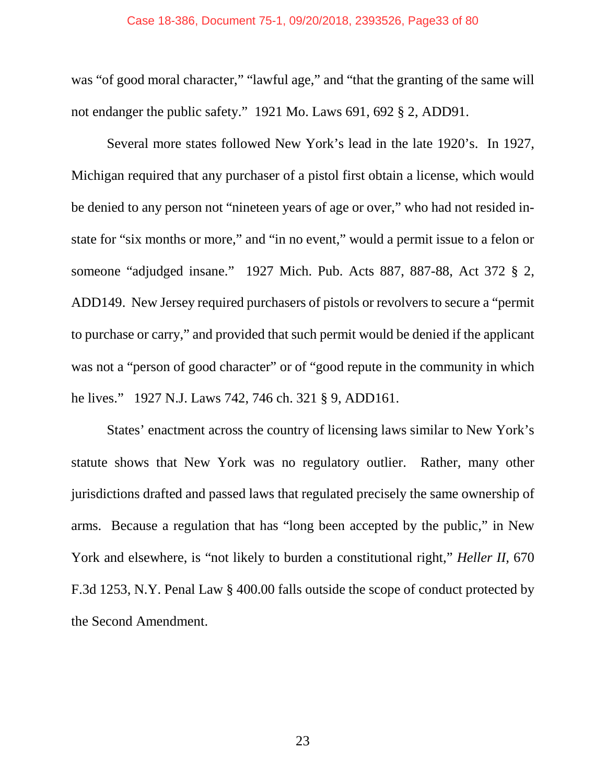#### Case 18-386, Document 75-1, 09/20/2018, 2393526, Page33 of 80

was "of good moral character," "lawful age," and "that the granting of the same will not endanger the public safety." 1921 Mo. Laws 691, 692 § 2, ADD91.

Several more states followed New York's lead in the late 1920's. In 1927, Michigan required that any purchaser of a pistol first obtain a license, which would be denied to any person not "nineteen years of age or over," who had not resided instate for "six months or more," and "in no event," would a permit issue to a felon or someone "adjudged insane." 1927 Mich. Pub. Acts 887, 887-88, Act 372 § 2, ADD149. New Jersey required purchasers of pistols or revolvers to secure a "permit to purchase or carry," and provided that such permit would be denied if the applicant was not a "person of good character" or of "good repute in the community in which he lives." 1927 N.J. Laws 742, 746 ch. 321 § 9, ADD161.

States' enactment across the country of licensing laws similar to New York's statute shows that New York was no regulatory outlier. Rather, many other jurisdictions drafted and passed laws that regulated precisely the same ownership of arms. Because a regulation that has "long been accepted by the public," in New York and elsewhere, is "not likely to burden a constitutional right," *Heller II,* 670 F.3d 1253, N.Y. Penal Law § 400.00 falls outside the scope of conduct protected by the Second Amendment.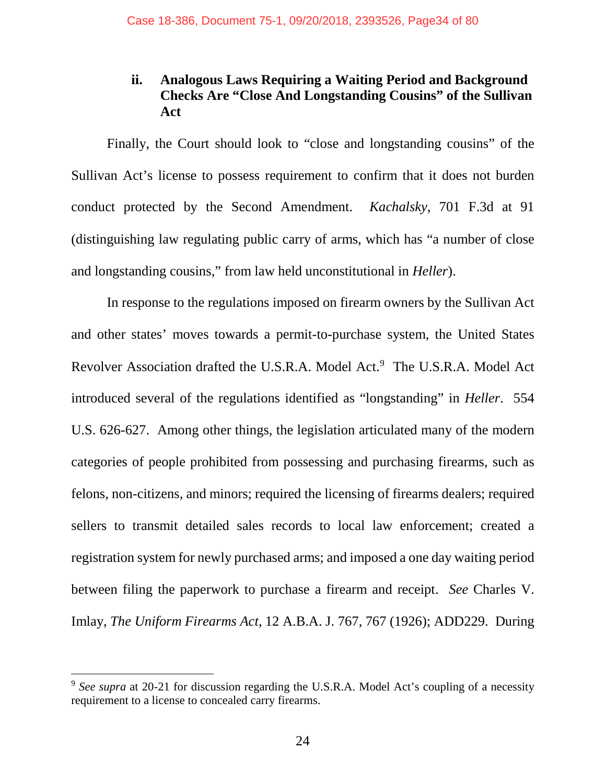# **ii. Analogous Laws Requiring a Waiting Period and Background Checks Are "Close And Longstanding Cousins" of the Sullivan Act**

Finally, the Court should look to "close and longstanding cousins" of the Sullivan Act's license to possess requirement to confirm that it does not burden conduct protected by the Second Amendment. *Kachalsky*, 701 F.3d at 91 (distinguishing law regulating public carry of arms, which has "a number of close and longstanding cousins," from law held unconstitutional in *Heller*).

In response to the regulations imposed on firearm owners by the Sullivan Act and other states' moves towards a permit-to-purchase system, the United States Revolver Association drafted the U.S.R.A. Model Act.<sup>9</sup> The U.S.R.A. Model Act introduced several of the regulations identified as "longstanding" in *Heller*. 554 U.S. 626-627. Among other things, the legislation articulated many of the modern categories of people prohibited from possessing and purchasing firearms, such as felons, non-citizens, and minors; required the licensing of firearms dealers; required sellers to transmit detailed sales records to local law enforcement; created a registration system for newly purchased arms; and imposed a one day waiting period between filing the paperwork to purchase a firearm and receipt. *See* Charles V. Imlay, *The Uniform Firearms Act*, 12 A.B.A. J. 767, 767 (1926); ADD229. During

 <sup>9</sup> *See supra* at 20-21 for discussion regarding the U.S.R.A. Model Act's coupling of a necessity requirement to a license to concealed carry firearms.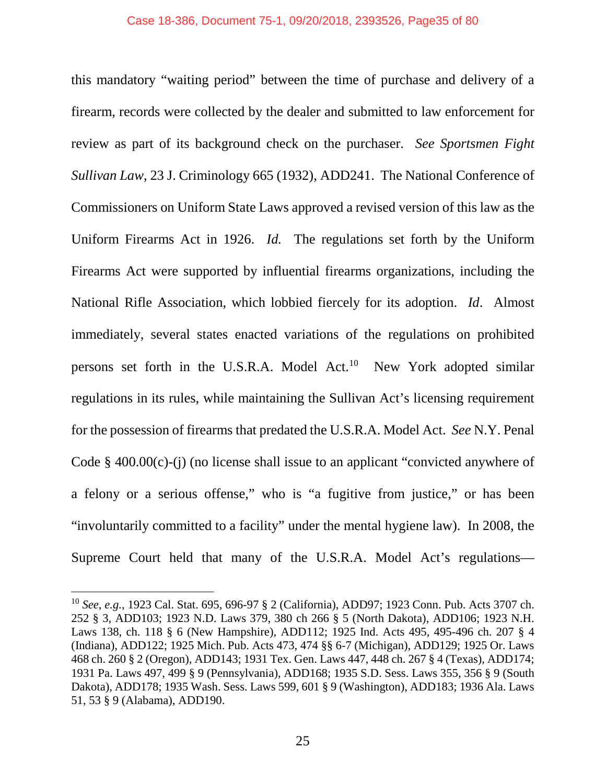this mandatory "waiting period" between the time of purchase and delivery of a firearm, records were collected by the dealer and submitted to law enforcement for review as part of its background check on the purchaser. *See Sportsmen Fight Sullivan Law*, 23 J. Criminology 665 (1932), ADD241. The National Conference of Commissioners on Uniform State Laws approved a revised version of this law as the Uniform Firearms Act in 1926. *Id.* The regulations set forth by the Uniform Firearms Act were supported by influential firearms organizations, including the National Rifle Association, which lobbied fiercely for its adoption. *Id*. Almost immediately, several states enacted variations of the regulations on prohibited persons set forth in the U.S.R.A. Model Act. 10 New York adopted similar regulations in its rules, while maintaining the Sullivan Act's licensing requirement for the possession of firearms that predated the U.S.R.A. Model Act. *See* N.Y. Penal Code § 400.00(c)-(j) (no license shall issue to an applicant "convicted anywhere of a felony or a serious offense," who is "a fugitive from justice," or has been "involuntarily committed to a facility" under the mental hygiene law). In 2008, the Supreme Court held that many of the U.S.R.A. Model Act's regulations—

 <sup>10</sup> *See*, *e.g.*, 1923 Cal. Stat. 695, 696-97 § 2 (California), ADD97; 1923 Conn. Pub. Acts 3707 ch. 252 § 3, ADD103; 1923 N.D. Laws 379, 380 ch 266 § 5 (North Dakota), ADD106; 1923 N.H. Laws 138, ch. 118 § 6 (New Hampshire), ADD112; 1925 Ind. Acts 495, 495-496 ch. 207 § 4 (Indiana), ADD122; 1925 Mich. Pub. Acts 473, 474 §§ 6-7 (Michigan), ADD129; 1925 Or. Laws 468 ch. 260 § 2 (Oregon), ADD143; 1931 Tex. Gen. Laws 447, 448 ch. 267 § 4 (Texas), ADD174; 1931 Pa. Laws 497, 499 § 9 (Pennsylvania), ADD168; 1935 S.D. Sess. Laws 355, 356 § 9 (South Dakota), ADD178; 1935 Wash. Sess. Laws 599, 601 § 9 (Washington), ADD183; 1936 Ala. Laws 51, 53 § 9 (Alabama), ADD190.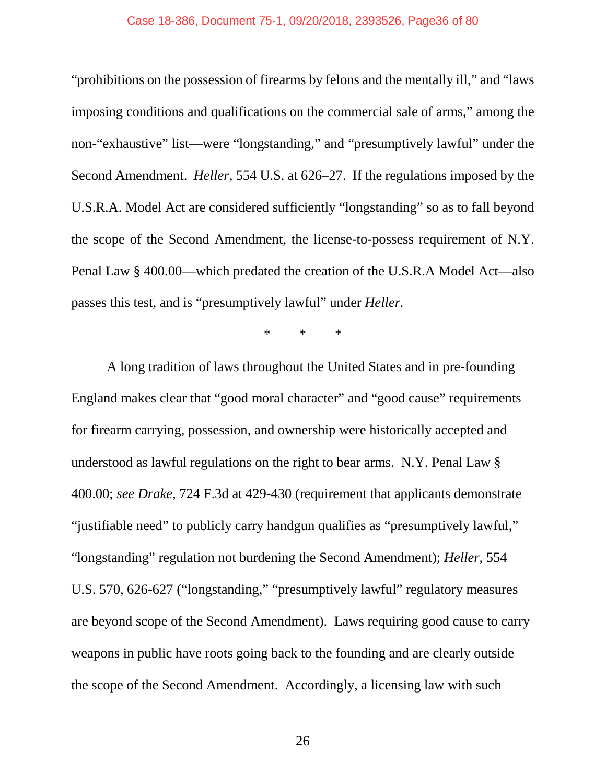"prohibitions on the possession of firearms by felons and the mentally ill," and "laws imposing conditions and qualifications on the commercial sale of arms," among the non-"exhaustive" list—were "longstanding," and "presumptively lawful" under the Second Amendment. *Heller*, 554 U.S. at 626–27. If the regulations imposed by the U.S.R.A. Model Act are considered sufficiently "longstanding" so as to fall beyond the scope of the Second Amendment, the license-to-possess requirement of N.Y. Penal Law § 400.00—which predated the creation of the U.S.R.A Model Act—also passes this test, and is "presumptively lawful" under *Heller.*

\* \* \*

A long tradition of laws throughout the United States and in pre-founding England makes clear that "good moral character" and "good cause" requirements for firearm carrying, possession, and ownership were historically accepted and understood as lawful regulations on the right to bear arms. N.Y. Penal Law § 400.00; *see Drake*, 724 F.3d at 429-430 (requirement that applicants demonstrate "justifiable need" to publicly carry handgun qualifies as "presumptively lawful," "longstanding" regulation not burdening the Second Amendment); *Heller*, 554 U.S. 570, 626-627 ("longstanding," "presumptively lawful" regulatory measures are beyond scope of the Second Amendment). Laws requiring good cause to carry weapons in public have roots going back to the founding and are clearly outside the scope of the Second Amendment. Accordingly, a licensing law with such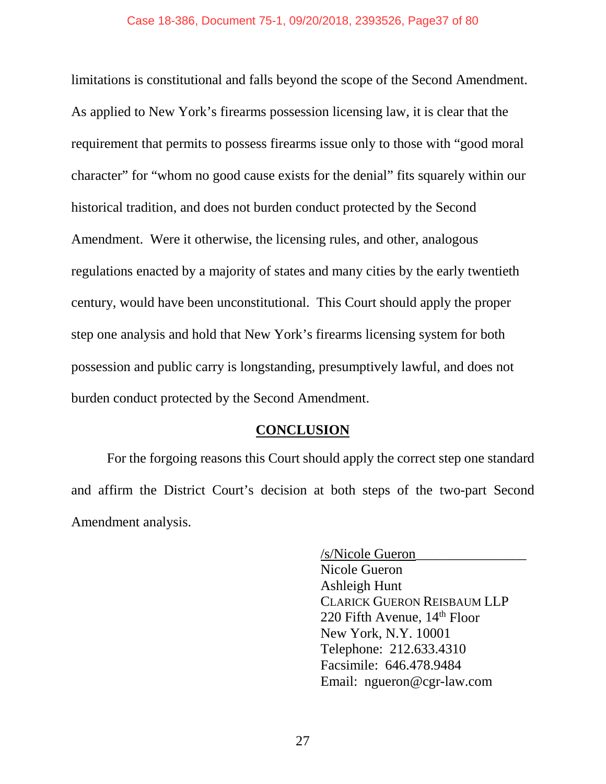limitations is constitutional and falls beyond the scope of the Second Amendment. As applied to New York's firearms possession licensing law, it is clear that the requirement that permits to possess firearms issue only to those with "good moral character" for "whom no good cause exists for the denial" fits squarely within our historical tradition, and does not burden conduct protected by the Second Amendment. Were it otherwise, the licensing rules, and other, analogous regulations enacted by a majority of states and many cities by the early twentieth century, would have been unconstitutional. This Court should apply the proper step one analysis and hold that New York's firearms licensing system for both possession and public carry is longstanding, presumptively lawful, and does not burden conduct protected by the Second Amendment.

### **CONCLUSION**

For the forgoing reasons this Court should apply the correct step one standard and affirm the District Court's decision at both steps of the two-part Second Amendment analysis.

> /s/Nicole Gueron\_\_\_\_\_\_\_\_\_\_\_\_\_\_\_\_ Nicole Gueron Ashleigh Hunt CLARICK GUERON REISBAUM LLP 220 Fifth Avenue, 14<sup>th</sup> Floor New York, N.Y. 10001 Telephone: 212.633.4310 Facsimile: 646.478.9484 Email: ngueron@cgr-law.com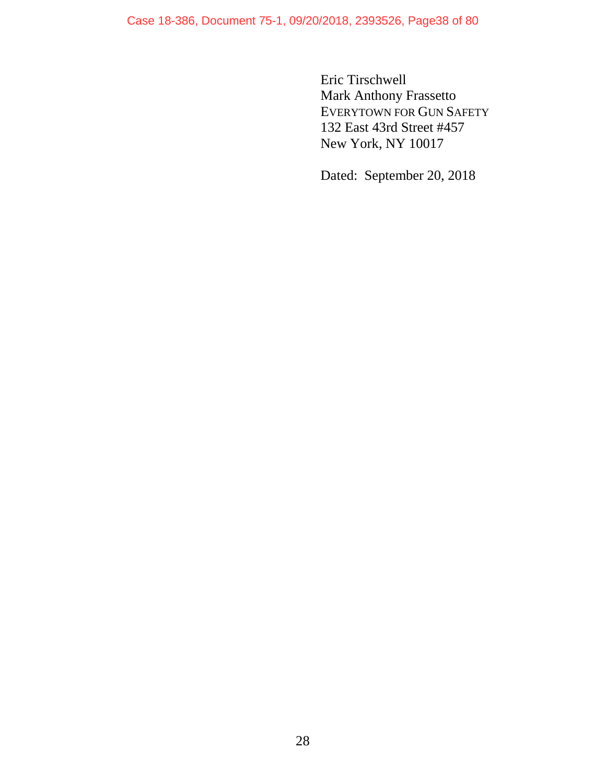Case 18-386, Document 75-1, 09/20/2018, 2393526, Page38 of 80

Eric Tirschwell Mark Anthony Frassetto EVERYTOWN FOR GUN SAFETY 132 East 43rd Street #457 New York, NY 10017

Dated: September 20, 2018